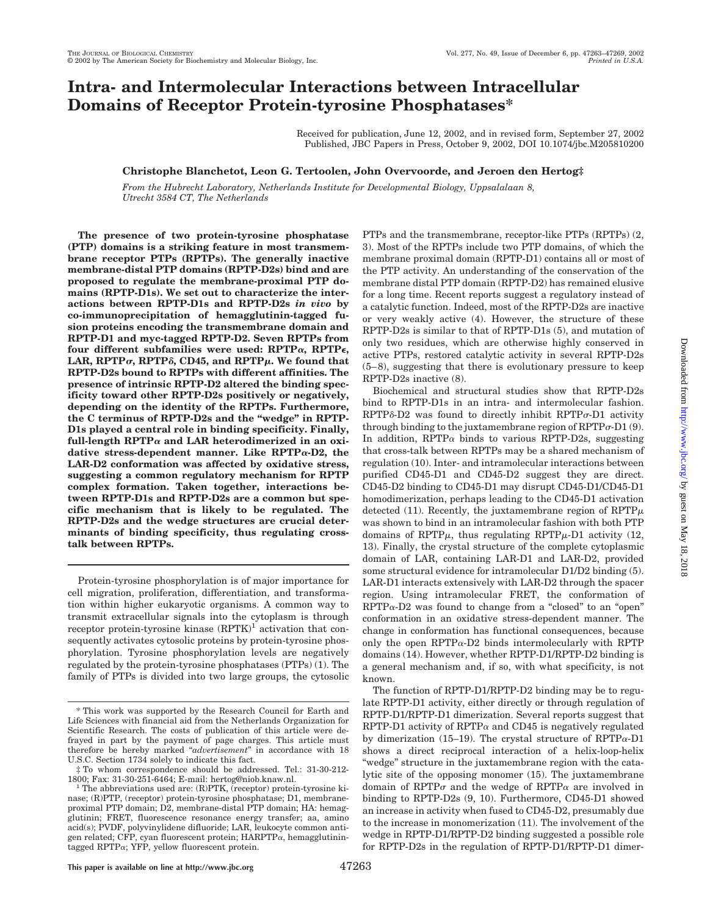# **Intra- and Intermolecular Interactions between Intracellular Domains of Receptor Protein-tyrosine Phosphatases\***

Received for publication, June 12, 2002, and in revised form, September 27, 2002 Published, JBC Papers in Press, October 9, 2002, DOI 10.1074/jbc.M205810200

### **Christophe Blanchetot, Leon G. Tertoolen, John Overvoorde, and Jeroen den Hertog‡**

*From the Hubrecht Laboratory, Netherlands Institute for Developmental Biology, Uppsalalaan 8, Utrecht 3584 CT, The Netherlands*

**The presence of two protein-tyrosine phosphatase (PTP) domains is a striking feature in most transmembrane receptor PTPs (RPTPs). The generally inactive membrane-distal PTP domains (RPTP-D2s) bind and are proposed to regulate the membrane-proximal PTP domains (RPTP-D1s). We set out to characterize the interactions between RPTP-D1s and RPTP-D2s** *in vivo* **by co-immunoprecipitation of hemagglutinin-tagged fusion proteins encoding the transmembrane domain and RPTP-D1 and myc-tagged RPTP-D2. Seven RPTPs from four different subfamilies were used: RPTP, RPTP**-**,** LAR, RPTP $\sigma$ , RPTP $\delta$ , CD45, and RPTP $\mu$ . We found that **RPTP-D2s bound to RPTPs with different affinities. The presence of intrinsic RPTP-D2 altered the binding specificity toward other RPTP-D2s positively or negatively, depending on the identity of the RPTPs. Furthermore, the C terminus of RPTP-D2s and the "wedge" in RPTP-D1s played a central role in binding specificity. Finally,** full-length  $RPTP\alpha$  and LAR heterodimerized in an oxidative stress-dependent manner. Like RPTP<sub>a</sub>-D<sub>2</sub>, the **LAR-D2 conformation was affected by oxidative stress, suggesting a common regulatory mechanism for RPTP complex formation. Taken together, interactions between RPTP-D1s and RPTP-D2s are a common but specific mechanism that is likely to be regulated. The RPTP-D2s and the wedge structures are crucial determinants of binding specificity, thus regulating crosstalk between RPTPs.**

Protein-tyrosine phosphorylation is of major importance for cell migration, proliferation, differentiation, and transformation within higher eukaryotic organisms. A common way to transmit extracellular signals into the cytoplasm is through receptor protein-tyrosine kinase  $(RPTK)^1$  activation that consequently activates cytosolic proteins by protein-tyrosine phosphorylation. Tyrosine phosphorylation levels are negatively regulated by the protein-tyrosine phosphatases (PTPs) (1). The family of PTPs is divided into two large groups, the cytosolic PTPs and the transmembrane, receptor-like PTPs (RPTPs) (2, 3). Most of the RPTPs include two PTP domains, of which the membrane proximal domain (RPTP-D1) contains all or most of the PTP activity. An understanding of the conservation of the membrane distal PTP domain (RPTP-D2) has remained elusive for a long time. Recent reports suggest a regulatory instead of a catalytic function. Indeed, most of the RPTP-D2s are inactive or very weakly active (4). However, the structure of these RPTP-D2s is similar to that of RPTP-D1s (5), and mutation of only two residues, which are otherwise highly conserved in active PTPs, restored catalytic activity in several RPTP-D2s (5–8), suggesting that there is evolutionary pressure to keep RPTP-D2s inactive (8).

Biochemical and structural studies show that RPTP-D2s bind to RPTP-D1s in an intra- and intermolecular fashion.  $RPTP\delta-D2$  was found to directly inhibit  $RPTP\sigma-D1$  activity through binding to the juxtamembrane region of  $RPTP\sigma-D1$  (9). In addition,  $RPTP\alpha$  binds to various RPTP-D2s, suggesting that cross-talk between RPTPs may be a shared mechanism of regulation (10). Inter- and intramolecular interactions between purified CD45-D1 and CD45-D2 suggest they are direct. CD45-D2 binding to CD45-D1 may disrupt CD45-D1/CD45-D1 homodimerization, perhaps leading to the CD45-D1 activation detected (11). Recently, the juxtamembrane region of  $RPTP\mu$ was shown to bind in an intramolecular fashion with both PTP domains of RPTP $\mu$ , thus regulating RPTP $\mu$ -D1 activity (12, 13). Finally, the crystal structure of the complete cytoplasmic domain of LAR, containing LAR-D1 and LAR-D2, provided some structural evidence for intramolecular D1/D2 binding (5). LAR-D1 interacts extensively with LAR-D2 through the spacer region. Using intramolecular FRET, the conformation of  $RPTP\alpha-D2$  was found to change from a "closed" to an "open" conformation in an oxidative stress-dependent manner. The change in conformation has functional consequences, because only the open RPTP $\alpha$ -D2 binds intermolecularly with RPTP domains (14). However, whether RPTP-D1/RPTP-D2 binding is a general mechanism and, if so, with what specificity, is not known.

The function of RPTP-D1/RPTP-D2 binding may be to regulate RPTP-D1 activity, either directly or through regulation of RPTP-D1/RPTP-D1 dimerization. Several reports suggest that RPTP-D1 activity of RPTP $\alpha$  and CD45 is negatively regulated by dimerization (15–19). The crystal structure of  $RPTP\alpha-D1$ shows a direct reciprocal interaction of a helix-loop-helix "wedge" structure in the juxtamembrane region with the catalytic site of the opposing monomer (15). The juxtamembrane domain of RPTP $\sigma$  and the wedge of RPTP $\alpha$  are involved in binding to RPTP-D2s (9, 10). Furthermore, CD45-D1 showed an increase in activity when fused to CD45-D2, presumably due to the increase in monomerization (11). The involvement of the wedge in RPTP-D1/RPTP-D2 binding suggested a possible role for RPTP-D2s in the regulation of RPTP-D1/RPTP-D1 dimer-

<sup>\*</sup> This work was supported by the Research Council for Earth and Life Sciences with financial aid from the Netherlands Organization for Scientific Research. The costs of publication of this article were defrayed in part by the payment of page charges. This article must therefore be hereby marked "*advertisement*" in accordance with 18 U.S.C. Section 1734 solely to indicate this fact.

<sup>‡</sup> To whom correspondence should be addressed. Tel.: 31-30-212- 1800; Fax: 31-30-251-6464; E-mail: hertog@niob.knaw.nl. <sup>1</sup> The abbreviations used are: (R)PTK, (receptor) protein-tyrosine ki-

nase; (R)PTP, (receptor) protein-tyrosine phosphatase; D1, membraneproximal PTP domain; D2, membrane-distal PTP domain; HA: hemagglutinin; FRET, fluorescence resonance energy transfer; aa, amino acid(s); PVDF, polyvinylidene difluoride; LAR, leukocyte common antigen related; CFP, cyan fluorescent protein;  $HARPTP\alpha$ , hemagglutinintagged RPTP $\alpha$ ; YFP, yellow fluorescent protein.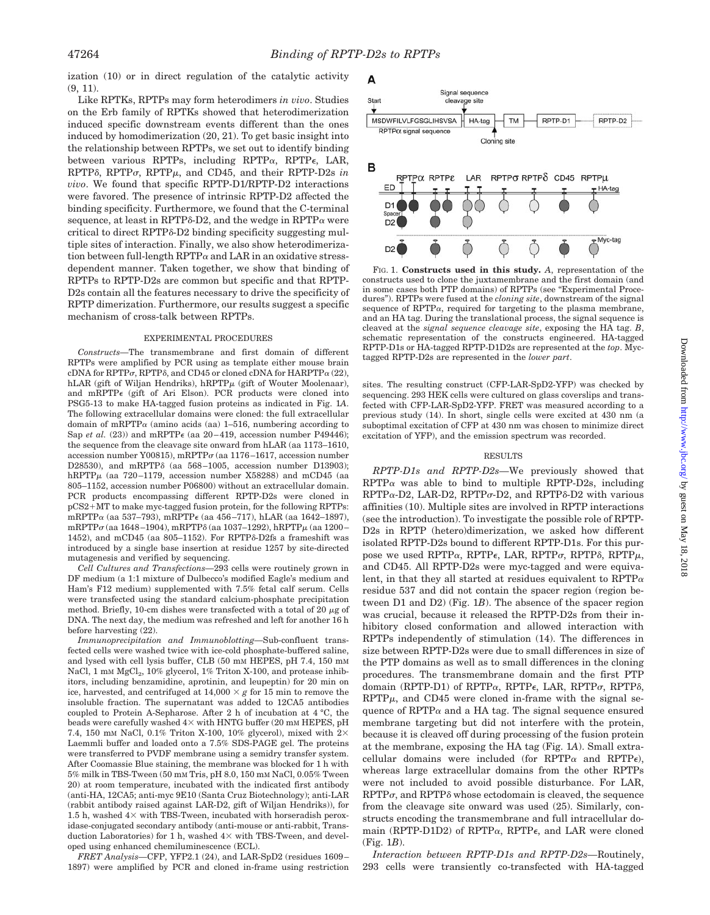ization (10) or in direct regulation of the catalytic activity  $(9, 11)$ .

Like RPTKs, RPTPs may form heterodimers *in vivo*. Studies on the Erb family of RPTKs showed that heterodimerization induced specific downstream events different than the ones induced by homodimerization (20, 21). To get basic insight into the relationship between RPTPs, we set out to identify binding between various RPTPs, including RPTP $\alpha$ , RPTP $\epsilon$ , LAR,  $RPTP\delta$ ,  $RPTP\sigma$ ,  $RPTP\mu$ , and CD45, and their  $RPTP-D2s$  *in vivo*. We found that specific RPTP-D1/RPTP-D2 interactions were favored. The presence of intrinsic RPTP-D2 affected the binding specificity. Furthermore, we found that the C-terminal sequence, at least in RPTP $\delta$ -D2, and the wedge in RPTP $\alpha$  were critical to direct RPTP $\delta$ -D2 binding specificity suggesting multiple sites of interaction. Finally, we also show heterodimerization between full-length  $RPTP\alpha$  and LAR in an oxidative stressdependent manner. Taken together, we show that binding of RPTPs to RPTP-D2s are common but specific and that RPTP-D2s contain all the features necessary to drive the specificity of RPTP dimerization. Furthermore, our results suggest a specific mechanism of cross-talk between RPTPs.

#### EXPERIMENTAL PROCEDURES

*Constructs—*The transmembrane and first domain of different RPTPs were amplified by PCR using as template either mouse brain cDNA for RPTP $\sigma$ , RPTP $\delta$ , and CD45 or cloned cDNA for HARPTP $\alpha$  (22), hLAR (gift of Wiljan Hendriks), hRPTP $\mu$  (gift of Wouter Moolenaar), and mRPTP $\epsilon$  (gift of Ari Elson). PCR products were cloned into PSG5-13 to make HA-tagged fusion proteins as indicated in Fig. 1*A*. The following extracellular domains were cloned: the full extracellular domain of mRPTP $\alpha$  (amino acids (aa) 1–516, numbering according to Sap *et al.* (23)) and mRPTP $\epsilon$  (aa 20–419, accession number P49446); the sequence from the cleavage site onward from hLAR (aa 1173–1610, accession number Y00815), mRPTP $\sigma$  (aa 1176–1617, accession number D28530), and mRPTP $\delta$  (aa 568-1005, accession number D13903); hRPTP $\mu$  (aa 720–1179, accession number X58288) and mCD45 (aa 805–1152, accession number P06800) without an extracellular domain. PCR products encompassing different RPTP-D2s were cloned in pCS2+MT to make myc-tagged fusion protein, for the following RPTPs:  $mRPTP\alpha$  (aa 537–793),  $mRPTP\epsilon$  (aa 456–717), hLAR (aa 1642–1897), mRPTP $\sigma$  (aa 1648–1904), mRPTP $\delta$  (aa 1037–1292), hRPTP $\mu$  (aa 1200– 1452), and mCD45 (aa 805-1152). For RPTPô-D2fs a frameshift was introduced by a single base insertion at residue 1257 by site-directed mutagenesis and verified by sequencing.

*Cell Cultures and Transfections—*293 cells were routinely grown in DF medium (a 1:1 mixture of Dulbecco's modified Eagle's medium and Ham's F12 medium) supplemented with 7.5% fetal calf serum. Cells were transfected using the standard calcium-phosphate precipitation method. Briefly, 10-cm dishes were transfected with a total of 20  $\mu$ g of DNA. The next day, the medium was refreshed and left for another 16 h before harvesting (22).

*Immunoprecipitation and Immunoblotting—*Sub-confluent transfected cells were washed twice with ice-cold phosphate-buffered saline, and lysed with cell lysis buffer, CLB (50 mM HEPES, pH 7.4, 150 mM NaCl, 1 mm MgCl<sub>2</sub>, 10% glycerol, 1% Triton X-100, and protease inhibitors, including benzamidine, aprotinin, and leupeptin) for 20 min on ice, harvested, and centrifuged at  $14,000 \times g$  for 15 min to remove the insoluble fraction. The supernatant was added to 12CA5 antibodies coupled to Protein A-Sepharose. After 2 h of incubation at 4 °C, the beads were carefully washed  $4\times$  with HNTG buffer (20 mM HEPES, pH 7.4, 150 mM NaCl, 0.1% Triton X-100, 10% glycerol), mixed with  $2\times$ Laemmli buffer and loaded onto a 7.5% SDS-PAGE gel. The proteins were transferred to PVDF membrane using a semidry transfer system. After Coomassie Blue staining, the membrane was blocked for 1 h with 5% milk in TBS-Tween (50 mM Tris, pH 8.0, 150 mM NaCl, 0.05% Tween 20) at room temperature, incubated with the indicated first antibody (anti-HA, 12CA5; anti-myc 9E10 (Santa Cruz Biotechnology); anti-LAR (rabbit antibody raised against LAR-D2, gift of Wiljan Hendriks)), for 1.5 h, washed  $4\times$  with TBS-Tween, incubated with horseradish peroxidase-conjugated secondary antibody (anti-mouse or anti-rabbit, Transduction Laboratories) for 1 h, washed  $4\times$  with TBS-Tween, and developed using enhanced chemiluminescence (ECL).

*FRET Analysis—*CFP, YFP2.1 (24), and LAR-SpD2 (residues 1609– 1897) were amplified by PCR and cloned in-frame using restriction



FIG. 1. **Constructs used in this study.** *A*, representation of the constructs used to clone the juxtamembrane and the first domain (and in some cases both PTP domains) of RPTPs (see "Experimental Procedures"). RPTPs were fused at the *cloning site*, downstream of the signal sequence of RPTP $\alpha$ , required for targeting to the plasma membrane, and an HA tag. During the translational process, the signal sequence is cleaved at the *signal sequence cleavage site*, exposing the HA tag. *B*, schematic representation of the constructs engineered. HA-tagged RPTP-D1s or HA-tagged RPTP-D1D2s are represented at the *top*. Myctagged RPTP-D2s are represented in the *lower part*.

sites. The resulting construct (CFP-LAR-SpD2-YFP) was checked by sequencing. 293 HEK cells were cultured on glass coverslips and transfected with CFP-LAR-SpD2-YFP. FRET was measured according to a previous study (14). In short, single cells were excited at 430 nm (a suboptimal excitation of CFP at 430 nm was chosen to minimize direct excitation of YFP), and the emission spectrum was recorded.

#### RESULTS

*RPTP-D1s and RPTP-D2s—*We previously showed that  $RPTP\alpha$  was able to bind to multiple RPTP-D2s, including  $RPTP\alpha$ -D2, LAR-D2,  $RPTP\sigma$ -D2, and  $RPTP\delta$ -D2 with various affinities (10). Multiple sites are involved in RPTP interactions (see the introduction). To investigate the possible role of RPTP-D2s in RPTP (hetero)dimerization, we asked how different isolated RPTP-D2s bound to different RPTP-D1s. For this purpose we used RPTP $\alpha$ , RPTP $\epsilon$ , LAR, RPTP $\sigma$ , RPTP $\delta$ , RPTP $\mu$ , and CD45. All RPTP-D2s were myc-tagged and were equivalent, in that they all started at residues equivalent to  $RPTP\alpha$ residue 537 and did not contain the spacer region (region between D1 and D2) (Fig. 1*B*). The absence of the spacer region was crucial, because it released the RPTP-D2s from their inhibitory closed conformation and allowed interaction with RPTPs independently of stimulation (14). The differences in size between RPTP-D2s were due to small differences in size of the PTP domains as well as to small differences in the cloning procedures. The transmembrane domain and the first PTP domain (RPTP-D1) of RPTP $\alpha$ , RPTP $\epsilon$ , LAR, RPTP $\sigma$ , RPTP $\delta$ ,  $RPTP\mu$ , and CD45 were cloned in-frame with the signal sequence of  $RPTP\alpha$  and a HA tag. The signal sequence ensured membrane targeting but did not interfere with the protein, because it is cleaved off during processing of the fusion protein at the membrane, exposing the HA tag (Fig. 1*A*). Small extracellular domains were included (for RPTP $\alpha$  and RPTP $\epsilon$ ), whereas large extracellular domains from the other RPTPs were not included to avoid possible disturbance. For LAR,  $RPTP\sigma$ , and  $RPTP\delta$  whose ectodomain is cleaved, the sequence from the cleavage site onward was used (25). Similarly, constructs encoding the transmembrane and full intracellular domain (RPTP-D1D2) of RPTP $\alpha$ , RPTP $\epsilon$ , and LAR were cloned (Fig. 1*B*).

*Interaction between RPTP-D1s and RPTP-D2s—*Routinely, 293 cells were transiently co-transfected with HA-tagged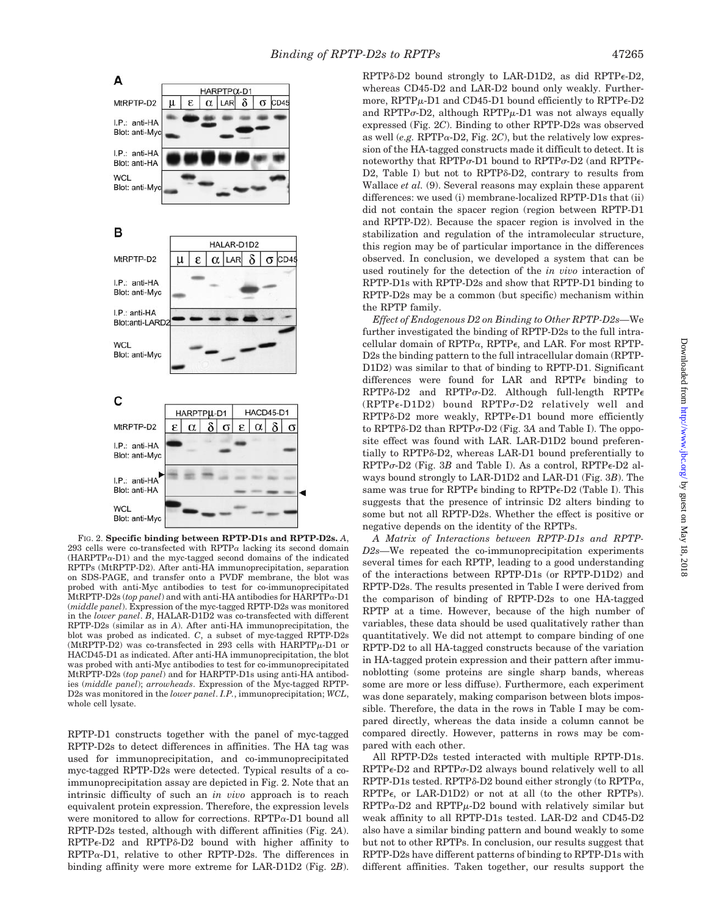

FIG. 2. **Specific binding between RPTP-D1s and RPTP-D2s.** *A*, 293 cells were co-transfected with RPTP $\alpha$  lacking its second domain  $(HARPTP\alpha-D1)$  and the myc-tagged second domains of the indicated RPTPs (MtRPTP-D2). After anti-HA immunoprecipitation, separation on SDS-PAGE, and transfer onto a PVDF membrane, the blot was probed with anti-Myc antibodies to test for co-immunoprecipitated MtRPTP-D2s (*top panel*) and with anti-HA antibodies for HARPTP $\alpha$ -D1 (*middle panel*). Expression of the myc-tagged RPTP-D2s was monitored in the *lower panel*. *B*, HALAR-D1D2 was co-transfected with different RPTP-D2s (similar as in *A*). After anti-HA immunoprecipitation, the blot was probed as indicated. *C*, a subset of myc-tagged RPTP-D2s (MtRPTP-D2) was co-transfected in 293 cells with  $HARPTP\mu$ -D1 or HACD45-D1 as indicated. After anti-HA immunoprecipitation, the blot was probed with anti-Myc antibodies to test for co-immunoprecipitated MtRPTP-D2s (*top panel*) and for HARPTP-D1s using anti-HA antibodies (*middle panel*); *arrowheads*. Expression of the Myc-tagged RPTP-D2s was monitored in the *lower panel*. *I.P.*, immunoprecipitation; *WCL*, whole cell lysate.

RPTP-D1 constructs together with the panel of myc-tagged RPTP-D2s to detect differences in affinities. The HA tag was used for immunoprecipitation, and co-immunoprecipitated myc-tagged RPTP-D2s were detected. Typical results of a coimmunoprecipitation assay are depicted in Fig. 2. Note that an intrinsic difficulty of such an *in vivo* approach is to reach equivalent protein expression. Therefore, the expression levels were monitored to allow for corrections.  $RPTP\alpha-D1$  bound all RPTP-D2s tested, although with different affinities (Fig. 2*A*).  $RPTP\epsilon-D2$  and  $RPTP\delta-D2$  bound with higher affinity to  $RPTP\alpha-D1$ , relative to other RPTP-D2s. The differences in binding affinity were more extreme for LAR-D1D2 (Fig. 2*B*).

RPTP<sub>8</sub>-D<sub>2</sub> bound strongly to LAR-D1D<sub>2</sub>, as did RPTP<sub>6</sub>-D<sub>2</sub>, whereas CD45-D2 and LAR-D2 bound only weakly. Furthermore,  $RPTP\mu$ -D1 and CD45-D1 bound efficiently to  $RPTP\epsilon$ -D2 and RPTP $\sigma$ -D2, although RPTP $\mu$ -D1 was not always equally expressed (Fig. 2*C*). Binding to other RPTP-D2s was observed as well (*e.g.* RPTP $\alpha$ -D2, Fig. 2*C*), but the relatively low expression of the HA-tagged constructs made it difficult to detect. It is noteworthy that RPTP $\sigma$ -D1 bound to RPTP $\sigma$ -D2 (and RPTP $\epsilon$ -D2, Table I) but not to RPTP $\delta$ -D2, contrary to results from Wallace *et al.* (9). Several reasons may explain these apparent differences: we used (i) membrane-localized RPTP-D1s that (ii) did not contain the spacer region (region between RPTP-D1 and RPTP-D2). Because the spacer region is involved in the stabilization and regulation of the intramolecular structure, this region may be of particular importance in the differences observed. In conclusion, we developed a system that can be used routinely for the detection of the *in vivo* interaction of RPTP-D1s with RPTP-D2s and show that RPTP-D1 binding to RPTP-D2s may be a common (but specific) mechanism within the RPTP family.

*Effect of Endogenous D2 on Binding to Other RPTP-D2s—*We further investigated the binding of RPTP-D2s to the full intracellular domain of RPTP $\alpha$ , RPTP $\epsilon$ , and LAR. For most RPTP-D2s the binding pattern to the full intracellular domain (RPTP-D1D2) was similar to that of binding to RPTP-D1. Significant differences were found for LAR and RPTP $\epsilon$  binding to  $RPTP\delta-D2$  and  $RPTP\sigma-D2$ . Although full-length  $RPTP\epsilon$  $(RPTP\epsilon\text{-}D1D2)$  bound  $RPTP\sigma\text{-}D2$  relatively well and RPTPô-D2 more weakly, RPTP $\epsilon$ -D1 bound more efficiently to RPTPδ-D2 than RPTPσ-D2 (Fig. 3A and Table I). The opposite effect was found with LAR. LAR-D1D2 bound preferentially to RPTP $\delta$ -D2, whereas LAR-D1 bound preferentially to  $\mathrm{RPTP}\sigma\text{-}\mathrm{D2}$  (Fig. 3*B* and Table I). As a control,  $\mathrm{RPTP}\epsilon\text{-}\mathrm{D2}$  always bound strongly to LAR-D1D2 and LAR-D1 (Fig. 3*B*). The same was true for RPTP $\epsilon$  binding to RPTP $\epsilon$ -D2 (Table I). This suggests that the presence of intrinsic D2 alters binding to some but not all RPTP-D2s. Whether the effect is positive or negative depends on the identity of the RPTPs.

*A Matrix of Interactions between RPTP-D1s and RPTP-D2s—*We repeated the co-immunoprecipitation experiments several times for each RPTP, leading to a good understanding of the interactions between RPTP-D1s (or RPTP-D1D2) and RPTP-D2s. The results presented in Table I were derived from the comparison of binding of RPTP-D2s to one HA-tagged RPTP at a time. However, because of the high number of variables, these data should be used qualitatively rather than quantitatively. We did not attempt to compare binding of one RPTP-D2 to all HA-tagged constructs because of the variation in HA-tagged protein expression and their pattern after immunoblotting (some proteins are single sharp bands, whereas some are more or less diffuse). Furthermore, each experiment was done separately, making comparison between blots impossible. Therefore, the data in the rows in Table I may be compared directly, whereas the data inside a column cannot be compared directly. However, patterns in rows may be compared with each other.

All RPTP-D2s tested interacted with multiple RPTP-D1s.  $RPTP\epsilon$ -D2 and  $RPTP\sigma$ -D2 always bound relatively well to all RPTP-D1s tested. RPTP $\delta$ -D2 bound either strongly (to RPTP $\alpha$ ,  $RPTP\epsilon$ , or LAR-D1D2) or not at all (to the other RPTPs).  $RPTP\alpha-D2$  and  $RPTP\mu-D2$  bound with relatively similar but weak affinity to all RPTP-D1s tested. LAR-D2 and CD45-D2 also have a similar binding pattern and bound weakly to some but not to other RPTPs. In conclusion, our results suggest that RPTP-D2s have different patterns of binding to RPTP-D1s with different affinities. Taken together, our results support the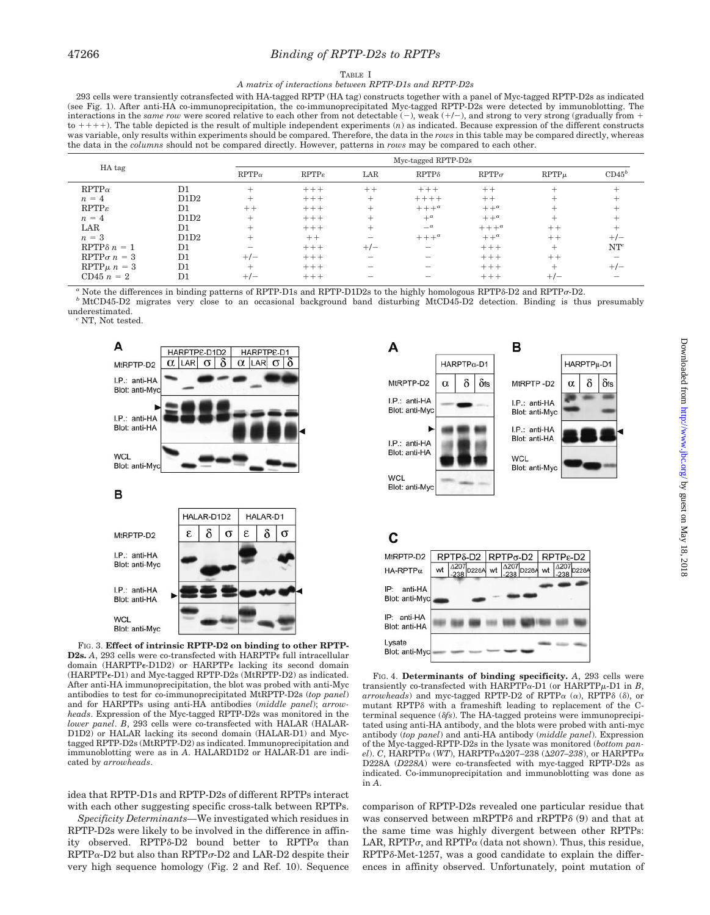### 47266 *Binding of RPTP-D2s to RPTPs*

### TABLE I

#### *A matrix of interactions between RPTP-D1s and RPTP-D2s*

293 cells were transiently cotransfected with HA-tagged RPTP (HA tag) constructs together with a panel of Myc-tagged RPTP-D2s as indicated (see Fig. 1). After anti-HA co-immunoprecipitation, the co-immunoprecipitated Myc-tagged RPTP-D2s were detected by immunoblotting. The interactions in the *same row* were scored relative to each other from not detectable  $(-)$ , weak  $(+/-)$ , and strong to very strong (gradually from  $+$  $\text{to } ++$ ). The table depicted is the result of multiple independent experiments  $(n)$  as indicated. Because expression of the different constructs was variable, only results within experiments should be compared. Therefore, the data in the *rows* in this table may be compared directly, whereas the data in the *columns* should not be compared directly. However, patterns in *rows* may be compared to each other.

|                     |      | Myc-tagged RPTP-D2s |                   |       |                          |                       |           |          |  |
|---------------------|------|---------------------|-------------------|-------|--------------------------|-----------------------|-----------|----------|--|
| HA tag              |      | $RPTP\alpha$        | $RPTP\varepsilon$ | LAR   | $RPTP\delta$             | $\mathrm{RPTP}\sigma$ | $RPTP\mu$ | $CD45^b$ |  |
| $RPTP\alpha$        | D1   | $^+$                | $+++$             | $++$  | $+++$                    | $++$                  | $^{+}$    |          |  |
| $n = 4$             | D1D2 | $^+$                | $+++$             | $^+$  | $+++++$                  | $++$                  | +         |          |  |
| $RPTP\varepsilon$   | D1   | $++$                | $+++$             | $^+$  | $+++^a$                  | $++^a$                |           |          |  |
| $n = 4$             | D1D2 | $^+$                | $+++$             | $\pm$ | $+^{\alpha}$             | $++^a$                | $^{+}$    |          |  |
| LAR                 | D1   | $^+$                | $+++$             | $^+$  | $-a$                     | $+++^a$               | $++$      |          |  |
| $n = 3$             | D1D2 | $^+$                | $++$              | -     | $+++^a$                  | $++^a$                | $++$      | $+/-$    |  |
| RPTP $\delta n = 1$ | D1   |                     | $+++$             | $+/-$ | $\overline{\phantom{0}}$ | $+++$                 | $^{+}$    | $NT^c$   |  |
| $RPTP\sigma n = 3$  | D1   | $+/-$               | $+++$             |       |                          | $+++$                 | $++$      |          |  |
| $RPTP\mu n = 3$     | D1   | $\pm$               | $+++$             | —     | $-$                      | $+++$                 | $\pm$     | $+/-$    |  |
| CD45 $n = 2$        | D1   | $+/-$               | $+++$             |       |                          | $+++$                 | $+/-$     |          |  |

Note the differences in binding patterns of RPTP-D1s and RPTP-D1D2s to the highly homologous RPTP<sub>6</sub>-D2 and RPTP $\sigma$ -D2.

-D2. *<sup>b</sup>* MtCD45-D2 migrates very close to an occasional background band disturbing MtCD45-D2 detection. Binding is thus presumably

underestimated. *<sup>c</sup>* NT, Not tested.

A HARPTPE-D1D2 HARPTPE-D1  $\alpha$  LAR  $\sigma$  $\alpha$  LAR  $\sigma$ δ MtRPTP-D2  $\delta$ I.P.: anti-HA Blot: anti-My I.P.: anti-HA Blot: anti-HA **WCL** Blot: anti-M B HALAR-D1D2 **HALAR-D1** δ δ  $\sigma$ Ė.  $\sigma$ MtRPTP-D2 I.P.: anti-HA Blot: anti-Myc I.P.: anti-HA Blot: anti-HA **WCL** Blot: anti-Myc

FIG. 3. **Effect of intrinsic RPTP-D2 on binding to other RPTP-D2s.** A, 293 cells were co-transfected with HARPTP $\epsilon$  full intracellular domain (HARPTP $\epsilon$ -D1D2) or HARPTP $\epsilon$  lacking its second domain  $(HARPTP \epsilon-D1)$  and Myc-tagged RPTP-D2s  $(MtRPTP-D2)$  as indicated. After anti-HA immunoprecipitation, the blot was probed with anti-Myc antibodies to test for co-immunoprecipitated MtRPTP-D2s (*top panel*) and for HARPTPs using anti-HA antibodies (*middle panel*); *arrowheads*. Expression of the Myc-tagged RPTP-D2s was monitored in the *lower panel*. *B*, 293 cells were co-transfected with HALAR (HALAR-D1D2) or HALAR lacking its second domain (HALAR-D1) and Myctagged RPTP-D2s (MtRPTP-D2) as indicated. Immunoprecipitation and immunoblotting were as in *A*. HALARD1D2 or HALAR-D1 are indicated by *arrowheads*.

idea that RPTP-D1s and RPTP-D2s of different RPTPs interact with each other suggesting specific cross-talk between RPTPs.

*Specificity Determinants—*We investigated which residues in RPTP-D2s were likely to be involved in the difference in affinity observed. RPTP $\delta$ -D2 bound better to RPTP $\alpha$  than  $RPTP\alpha$ -D2 but also than  $RPTP\sigma$ -D2 and LAR-D2 despite their very high sequence homology (Fig. 2 and Ref. 10). Sequence



## C



FIG. 4. **Determinants of binding specificity.** *A*, 293 cells were transiently co-transfected with  $HARPTP\alpha-D1$  (or  $HARPTP\mu-D1$  in *B*,  $arrowheads)$  and myc-tagged RPTP-D2 of RPTP $\alpha$  ( $\alpha$ ), RPTP $\delta$  ( $\delta$ ), or mutant RPTP $\delta$  with a frameshift leading to replacement of the Cterminal sequence (*fs*). The HA-tagged proteins were immunoprecipitated using anti-HA antibody, and the blots were probed with anti-myc antibody (*top panel*) and anti-HA antibody (*middle panel*). Expression of the Myc-tagged-RPTP-D2s in the lysate was monitored (*bottom panel*). *C*, HARPTP $\alpha$  (WT), HARPTP $\alpha$  $\Delta$ 207–238 ( $\Delta$ 207–238), or HARPTP $\alpha$ D228A (*D228A*) were co-transfected with myc-tagged RPTP-D2s as indicated. Co-immunoprecipitation and immunoblotting was done as in *A*.

comparison of RPTP-D2s revealed one particular residue that was conserved between mRPTP $\delta$  and rRPTP $\delta$  (9) and that at the same time was highly divergent between other RPTPs: LAR, RPTP $\sigma$ , and RPTP $\alpha$  (data not shown). Thus, this residue,  $RPTP\delta-Met-1257$ , was a good candidate to explain the differences in affinity observed. Unfortunately, point mutation of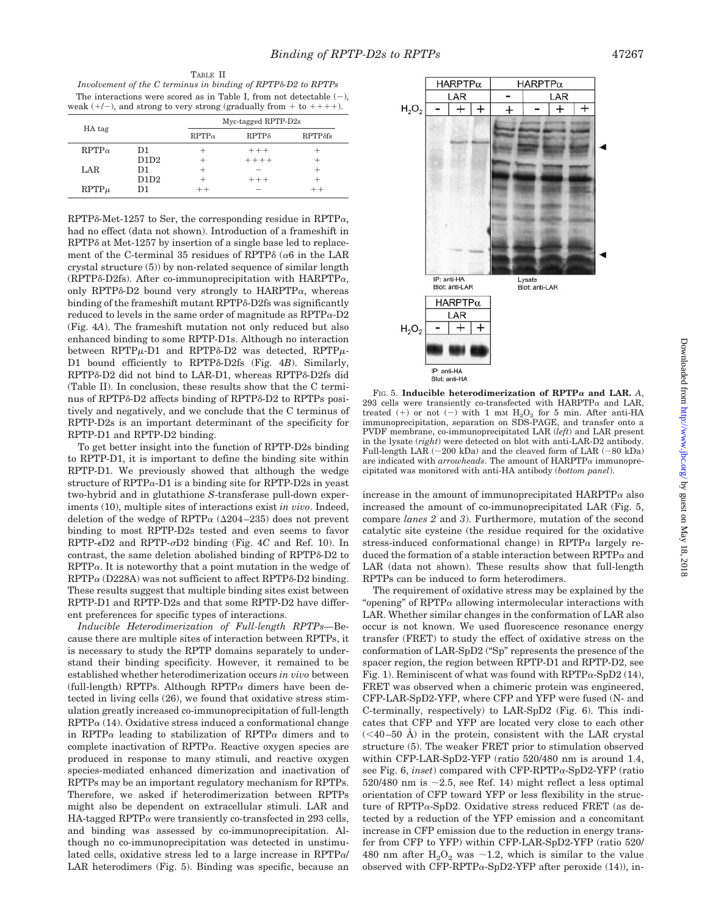TABLE II *Involvement of the C terminus in binding of RPTP-D2 to RPTPs* The interactions were scored as in Table I, from not detectable  $(-)$ , weak  $(+/-)$ , and strong to very strong (gradually from  $+$  to  $++$  +).

| HA tag       |      | Myc-tagged RPTP-D2s |              |                 |  |  |
|--------------|------|---------------------|--------------|-----------------|--|--|
|              |      | $RPTP\alpha$        | $RPTP\delta$ | $RPTP\delta fs$ |  |  |
| $RPTP\alpha$ | D1   |                     | $++ +$       |                 |  |  |
|              | D1D2 |                     | $+++++$      |                 |  |  |
| LAR          | D1   |                     |              |                 |  |  |
|              | D1D2 |                     | $+++$        |                 |  |  |
| $RPTP\mu$    | D1   | $+ +$               |              |                 |  |  |

 $RPTP\delta-Met-1257$  to Ser, the corresponding residue in  $RPTP\alpha$ , had no effect (data not shown). Introduction of a frameshift in  $RPTP\delta$  at Met-1257 by insertion of a single base led to replacement of the C-terminal 35 residues of RPTP $\delta$  ( $\alpha$ 6 in the LAR crystal structure (5)) by non-related sequence of similar length (RPTP $\delta$ -D2fs). After co-immunoprecipitation with HARPTP $\alpha$ , only RPTP $\delta$ -D2 bound very strongly to HARPTP $\alpha$ , whereas binding of the frameshift mutant RPTP $\delta$ -D2fs was significantly reduced to levels in the same order of magnitude as  $RPTP\alpha-D2$ (Fig. 4*A*). The frameshift mutation not only reduced but also enhanced binding to some RPTP-D1s. Although no interaction between  $RPTP\mu$ -D1 and  $RPTP\delta$ -D2 was detected,  $RPTP\mu$ -D1 bound efficiently to RPTP<sub>8</sub>-D<sub>2fs</sub> (Fig. 4*B*). Similarly, RPTP<sub>8</sub>-D<sub>2</sub> did not bind to LAR-D1, whereas RPTP<sub>8</sub>-D<sub>2fs</sub> did (Table II). In conclusion, these results show that the C terminus of RPTP $\delta$ -D2 affects binding of RPTP $\delta$ -D2 to RPTPs positively and negatively, and we conclude that the C terminus of RPTP-D2s is an important determinant of the specificity for RPTP-D1 and RPTP-D2 binding.

To get better insight into the function of RPTP-D2s binding to RPTP-D1, it is important to define the binding site within RPTP-D1. We previously showed that although the wedge structure of  $RPTP\alpha-D1$  is a binding site for  $RPTP-D2s$  in yeast two-hybrid and in glutathione *S*-transferase pull-down experiments (10), multiple sites of interactions exist *in vivo*. Indeed, deletion of the wedge of RPTP $\alpha$  ( $\Delta$ 204–235) does not prevent binding to most RPTP-D2s tested and even seems to favor  $RPTP-\epsilon D2$  and  $RPTP-\sigma D2$  binding (Fig. 4*C* and Ref. 10). In contrast, the same deletion abolished binding of RPTPô-D2 to  $RPTP\alpha$ . It is noteworthy that a point mutation in the wedge of  $RPTP\alpha$  (D228A) was not sufficient to affect RPTP $\delta$ -D2 binding. These results suggest that multiple binding sites exist between RPTP-D1 and RPTP-D2s and that some RPTP-D2 have different preferences for specific types of interactions.

*Inducible Heterodimerization of Full-length RPTPs—*Because there are multiple sites of interaction between RPTPs, it is necessary to study the RPTP domains separately to understand their binding specificity. However, it remained to be established whether heterodimerization occurs *in vivo* between (full-length) RPTPs. Although RPTP $\alpha$  dimers have been detected in living cells (26), we found that oxidative stress stimulation greatly increased co-immunoprecipitation of full-length  $RPTP\alpha$  (14). Oxidative stress induced a conformational change in RPTP $\alpha$  leading to stabilization of RPTP $\alpha$  dimers and to complete inactivation of  $RPTP\alpha$ . Reactive oxygen species are produced in response to many stimuli, and reactive oxygen species-mediated enhanced dimerization and inactivation of RPTPs may be an important regulatory mechanism for RPTPs. Therefore, we asked if heterodimerization between RPTPs might also be dependent on extracellular stimuli. LAR and HA-tagged RPTP $\alpha$  were transiently co-transfected in 293 cells, and binding was assessed by co-immunoprecipitation. Although no co-immunoprecipitation was detected in unstimulated cells, oxidative stress led to a large increase in  $RPTP\alpha/$ LAR heterodimers (Fig. 5). Binding was specific, because an



 $F$ IG. 5. **Inducible heterodimerization of RPTP** $\alpha$  and LAR, A, 293 cells were transiently co-transfected with  $HARPTP\alpha$  and LAR, treated (+) or not (-) with 1 mm  $H_2O_2$  for 5 min. After anti-HA immunoprecipitation, separation on SDS-PAGE, and transfer onto a PVDF membrane, co-immunoprecipitated LAR (*left*) and LAR present in the lysate (*right*) were detected on blot with anti-LAR-D2 antibody. Full-length LAR ( $\sim$ 200 kDa) and the cleaved form of LAR ( $\sim$ 80 kDa) are indicated with  $arrowless$ . The amount of  $HARPTP\alpha$  immunoprecipitated was monitored with anti-HA antibody (*bottom panel*).

increase in the amount of immunoprecipitated  $HARPTP\alpha$  also increased the amount of co-immunoprecipitated LAR (Fig. 5, compare *lanes 2* and *3*). Furthermore, mutation of the second catalytic site cysteine (the residue required for the oxidative stress-induced conformational change) in RPTP $\alpha$  largely reduced the formation of a stable interaction between  $\text{RPTP}\alpha$  and LAR (data not shown). These results show that full-length RPTPs can be induced to form heterodimers.

The requirement of oxidative stress may be explained by the "opening" of  $RPTP\alpha$  allowing intermolecular interactions with LAR. Whether similar changes in the conformation of LAR also occur is not known. We used fluorescence resonance energy transfer (FRET) to study the effect of oxidative stress on the conformation of LAR-SpD2 ("Sp" represents the presence of the spacer region, the region between RPTP-D1 and RPTP-D2, see Fig. 1). Reminiscent of what was found with  $RPTP\alpha$ -SpD2 (14), FRET was observed when a chimeric protein was engineered, CFP-LAR-SpD2-YFP, where CFP and YFP were fused (N- and C-terminally, respectively) to LAR-SpD2 (Fig. 6). This indicates that CFP and YFP are located very close to each other  $( $40-50$  Å) in the protein, consistent with the LAR crystal$ structure (5). The weaker FRET prior to stimulation observed within CFP-LAR-SpD2-YFP (ratio 520/480 nm is around 1.4, see Fig.  $6$ , *inset*) compared with CFP-RPTP $\alpha$ -SpD2-YFP (ratio 520/480 nm is  $\sim$ 2.5, see Ref. 14) might reflect a less optimal orientation of CFP toward YFP or less flexibility in the structure of RPTP $\alpha$ -SpD2. Oxidative stress reduced FRET (as detected by a reduction of the YFP emission and a concomitant increase in CFP emission due to the reduction in energy transfer from CFP to YFP) within CFP-LAR-SpD2-YFP (ratio 520/ 480 nm after  $H_2O_2$  was  $\sim$  1.2, which is similar to the value observed with CFP-RPTP $\alpha$ -SpD2-YFP after peroxide (14)), in-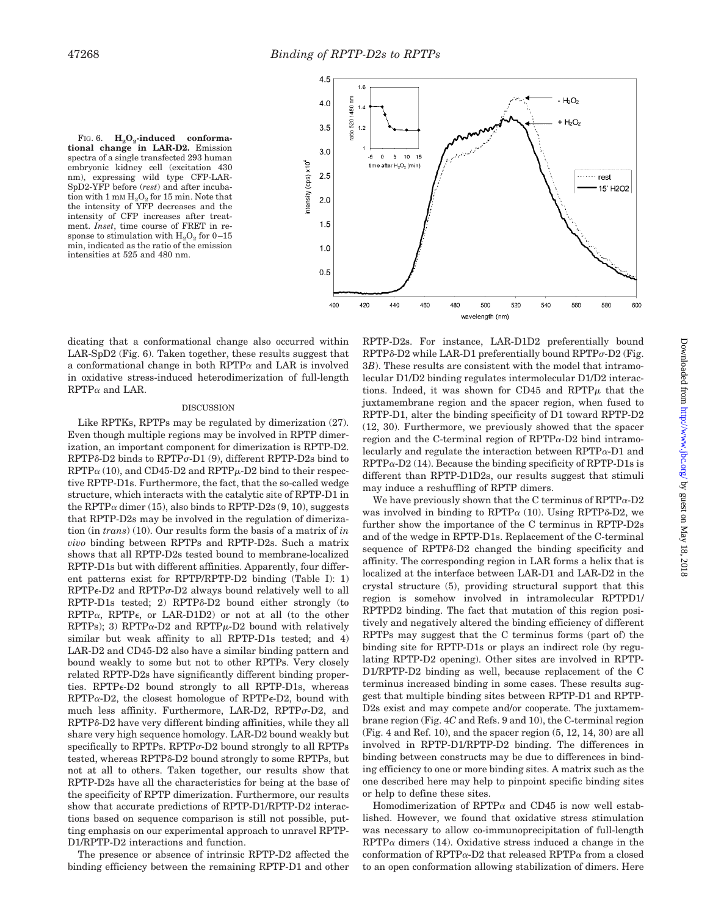



dicating that a conformational change also occurred within LAR-SpD2 (Fig. 6). Taken together, these results suggest that a conformational change in both RPTP $\alpha$  and LAR is involved in oxidative stress-induced heterodimerization of full-length  $RPTP\alpha$  and LAR.

#### DISCUSSION

Like RPTKs, RPTPs may be regulated by dimerization (27). Even though multiple regions may be involved in RPTP dimerization, an important component for dimerization is RPTP-D2.  $RPTP\delta$ -D2 binds to  $RPTP\sigma$ -D1 (9), different  $RPTP$ -D2s bind to  $RPTP\alpha$  (10), and CD45-D2 and  $RPTP\mu$ -D2 bind to their respective RPTP-D1s. Furthermore, the fact, that the so-called wedge structure, which interacts with the catalytic site of RPTP-D1 in the RPTP $\alpha$  dimer (15), also binds to RPTP-D2s (9, 10), suggests that RPTP-D2s may be involved in the regulation of dimerization (in *trans*) (10). Our results form the basis of a matrix of *in vivo* binding between RPTPs and RPTP-D2s. Such a matrix shows that all RPTP-D2s tested bound to membrane-localized RPTP-D1s but with different affinities. Apparently, four different patterns exist for RPTP/RPTP-D2 binding (Table I): 1)  $RPTP\epsilon$ -D2 and  $RPTP\sigma$ -D2 always bound relatively well to all  $RPTP-D1s$  tested; 2)  $RPTP\delta-D2$  bound either strongly (to  $RPTP\alpha$ ,  $RPTP\epsilon$ , or LAR-D1D2) or not at all (to the other RPTPs); 3) RPTP $\alpha$ -D2 and RPTP $\mu$ -D2 bound with relatively similar but weak affinity to all RPTP-D1s tested; and 4) LAR-D2 and CD45-D2 also have a similar binding pattern and bound weakly to some but not to other RPTPs. Very closely related RPTP-D2s have significantly different binding properties. RPTP $\epsilon$ -D2 bound strongly to all RPTP-D1s, whereas  $RPTP\alpha-D2$ , the closest homologue of  $RPTP\epsilon-D2$ , bound with much less affinity. Furthermore, LAR-D2, RPTP $\sigma$ -D2, and RPTP<sub>8</sub>-D<sub>2</sub> have very different binding affinities, while they all share very high sequence homology. LAR-D2 bound weakly but specifically to RPTPs. RPTP $\sigma$ -D2 bound strongly to all RPTPs tested, whereas RPTP $\delta$ -D2 bound strongly to some RPTPs, but not at all to others. Taken together, our results show that RPTP-D2s have all the characteristics for being at the base of the specificity of RPTP dimerization. Furthermore, our results show that accurate predictions of RPTP-D1/RPTP-D2 interactions based on sequence comparison is still not possible, putting emphasis on our experimental approach to unravel RPTP-D1/RPTP-D2 interactions and function.

The presence or absence of intrinsic RPTP-D2 affected the binding efficiency between the remaining RPTP-D1 and other RPTP-D2s. For instance, LAR-D1D2 preferentially bound  $RPTP\delta$ -D2 while LAR-D1 preferentially bound  $RPTP\sigma$ -D2 (Fig. 3*B*). These results are consistent with the model that intramolecular D1/D2 binding regulates intermolecular D1/D2 interactions. Indeed, it was shown for CD45 and  $RPTP\mu$  that the juxtamembrane region and the spacer region, when fused to RPTP-D1, alter the binding specificity of D1 toward RPTP-D2 (12, 30). Furthermore, we previously showed that the spacer region and the C-terminal region of  $RPTP\alpha-D2$  bind intramolecularly and regulate the interaction between  $RPTP_{\alpha}$ -D1 and  $RPTP\alpha-D2$  (14). Because the binding specificity of RPTP-D1s is different than RPTP-D1D2s, our results suggest that stimuli may induce a reshuffling of RPTP dimers.

We have previously shown that the C terminus of  $RPTP_{\alpha}$ -D2 was involved in binding to  $RPTP\alpha$  (10). Using  $RPTP\delta-D2$ , we further show the importance of the C terminus in RPTP-D2s and of the wedge in RPTP-D1s. Replacement of the C-terminal sequence of RPTP $\delta$ -D2 changed the binding specificity and affinity. The corresponding region in LAR forms a helix that is localized at the interface between LAR-D1 and LAR-D2 in the crystal structure (5), providing structural support that this region is somehow involved in intramolecular RPTPD1/ RPTPD2 binding. The fact that mutation of this region positively and negatively altered the binding efficiency of different RPTPs may suggest that the C terminus forms (part of) the binding site for RPTP-D1s or plays an indirect role (by regulating RPTP-D2 opening). Other sites are involved in RPTP-D1/RPTP-D2 binding as well, because replacement of the C terminus increased binding in some cases. These results suggest that multiple binding sites between RPTP-D1 and RPTP-D2s exist and may compete and/or cooperate. The juxtamembrane region (Fig. 4*C* and Refs. 9 and 10), the C-terminal region (Fig. 4 and Ref. 10), and the spacer region (5, 12, 14, 30) are all involved in RPTP-D1/RPTP-D2 binding. The differences in binding between constructs may be due to differences in binding efficiency to one or more binding sites. A matrix such as the one described here may help to pinpoint specific binding sites or help to define these sites.

Homodimerization of RPTP $\alpha$  and CD45 is now well established. However, we found that oxidative stress stimulation was necessary to allow co-immunoprecipitation of full-length  $RPTP\alpha$  dimers (14). Oxidative stress induced a change in the conformation of RPTP $\alpha$ -D2 that released RPTP $\alpha$  from a closed to an open conformation allowing stabilization of dimers. Here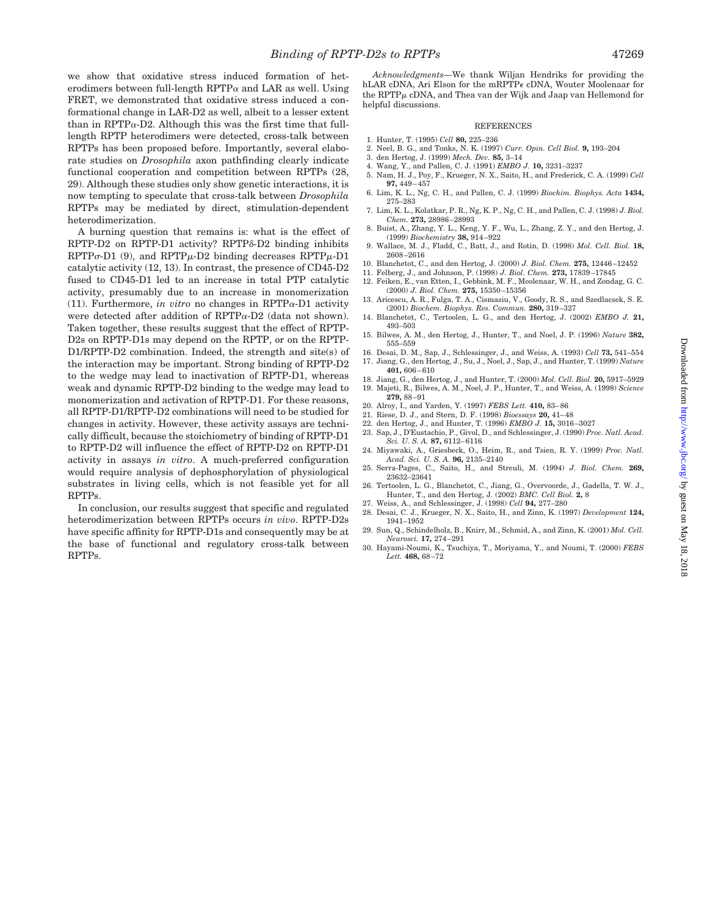we show that oxidative stress induced formation of heterodimers between full-length  $RPTP\alpha$  and LAR as well. Using FRET, we demonstrated that oxidative stress induced a conformational change in LAR-D2 as well, albeit to a lesser extent than in RPTP $\alpha$ -D2. Although this was the first time that fulllength RPTP heterodimers were detected, cross-talk between RPTPs has been proposed before. Importantly, several elaborate studies on *Drosophila* axon pathfinding clearly indicate functional cooperation and competition between RPTPs (28, 29). Although these studies only show genetic interactions, it is now tempting to speculate that cross-talk between *Drosophila* RPTPs may be mediated by direct, stimulation-dependent heterodimerization.

A burning question that remains is: what is the effect of RPTP-D2 on RPTP-D1 activity? RPTPδ-D2 binding inhibits  $RPTP\sigma$ -D1 (9), and  $RPTP\mu$ -D2 binding decreases  $RPTP\mu$ -D1 catalytic activity (12, 13). In contrast, the presence of CD45-D2 fused to CD45-D1 led to an increase in total PTP catalytic activity, presumably due to an increase in monomerization (11). Furthermore, *in vitro* no changes in  $\text{RPTP}\alpha$ -D1 activity were detected after addition of  $RPTP_{\alpha}$ -D2 (data not shown). Taken together, these results suggest that the effect of RPTP-D2s on RPTP-D1s may depend on the RPTP, or on the RPTP-D1/RPTP-D2 combination. Indeed, the strength and site(s) of the interaction may be important. Strong binding of RPTP-D2 to the wedge may lead to inactivation of RPTP-D1, whereas weak and dynamic RPTP-D2 binding to the wedge may lead to monomerization and activation of RPTP-D1. For these reasons, all RPTP-D1/RPTP-D2 combinations will need to be studied for changes in activity. However, these activity assays are technically difficult, because the stoichiometry of binding of RPTP-D1 to RPTP-D2 will influence the effect of RPTP-D2 on RPTP-D1 activity in assays *in vitro*. A much-preferred configuration would require analysis of dephosphorylation of physiological substrates in living cells, which is not feasible yet for all RPTPs.

In conclusion, our results suggest that specific and regulated heterodimerization between RPTPs occurs *in vivo*. RPTP-D2s have specific affinity for RPTP-D1s and consequently may be at the base of functional and regulatory cross-talk between RPTPs.

*Acknowledgments—*We thank Wiljan Hendriks for providing the hLAR cDNA, Ari Elson for the mRPTP $\epsilon$  cDNA, Wouter Moolenaar for the RPTP $\mu$  cDNA, and Thea van der Wijk and Jaap van Hellemond for helpful discussions.

#### REFERENCES

- 1. Hunter, T. (1995) *Cell* **80,** 225–236
- 2. Neel, B. G., and Tonks, N. K. (1997) *Curr. Opin. Cell Biol.* **9,** 193–204
- 3. den Hertog, J. (1999) *Mech. Dev.* **85,** 3–14
- 4. Wang, Y., and Pallen, C. J. (1991) *EMBO J.* **10,** 3231–3237
- 5. Nam, H. J., Poy, F., Krueger, N. X., Saito, H., and Frederick, C. A. (1999) *Cell* **97,** 449–457
- 6. Lim, K. L., Ng, C. H., and Pallen, C. J. (1999) *Biochim. Biophys. Acta* **1434,** 275–283 7. Lim, K. L., Kolatkar, P. R., Ng, K. P., Ng, C. H., and Pallen, C. J. (1998) *J. Biol.*
- *Chem.* **273,** 28986–28993
- 8. Buist, A., Zhang, Y. L., Keng, Y. F., Wu, L., Zhang, Z. Y., and den Hertog, J. (1999) *Biochemistry* **38,** 914–922
- 9. Wallace, M. J., Fladd, C., Batt, J., and Rotin, D. (1998) *Mol. Cell. Biol.* **18,** 2608–2616
- 10. Blanchetot, C., and den Hertog, J. (2000) *J. Biol. Chem.* **275,** 12446–12452
- 11. Felberg, J., and Johnson, P. (1998) *J. Biol. Chem.* **273,** 17839–17845 12. Feiken, E., van Etten, I., Gebbink, M. F., Moolenaar, W. H., and Zondag, G. C.
- (2000) *J. Biol. Chem.* **275,** 15350–15356
- 13. Aricescu, A. R., Fulga, T. A., Cismasiu, V., Goody, R. S., and Szedlacsek, S. E. (2001) *Biochem. Biophys. Res. Commun.* **280,** 319–327
- 14. Blanchetot, C., Tertoolen, L. G., and den Hertog, J. (2002) *EMBO J.* **21,** 493–503
- 15. Bilwes, A. M., den Hertog, J., Hunter, T., and Noel, J. P. (1996) *Nature* **382,** 555–559
- 16. Desai, D. M., Sap, J., Schlessinger, J., and Weiss, A. (1993) *Cell* **73,** 541–554 17. Jiang, G., den Hertog, J., Su, J., Noel, J., Sap, J., and Hunter, T. (1999) *Nature* **401,** 606–610
- 18. Jiang, G., den Hertog, J., and Hunter, T. (2000) *Mol. Cell. Biol.* **20,** 5917–5929
- 19. Majeti, R., Bilwes, A. M., Noel, J. P., Hunter, T., and Weiss, A. (1998) *Science* **279,** 88–91
- 20. Alroy, I., and Yarden, Y. (1997) *FEBS Lett.* **410,** 83–86
- 21. Riese, D. J., and Stern, D. F. (1998) *Bioessays* **20,** 41–48
- 22. den Hertog, J., and Hunter, T. (1996) *EMBO J.* **15,** 3016–3027
- 23. Sap, J., D'Eustachio, P., Givol, D., and Schlessinger, J. (1990) *Proc. Natl. Acad. Sci. U. S. A.* **87,** 6112–6116
- 24. Miyawaki, A., Griesbeck, O., Heim, R., and Tsien, R. Y. (1999) *Proc. Natl. Acad. Sci. U. S. A.* **96,** 2135–2140
- 25. Serra-Pages, C., Saito, H., and Streuli, M. (1994) *J. Biol. Chem.* **269,** 23632–23641
- 26. Tertoolen, L. G., Blanchetot, C., Jiang, G., Overvoorde, J., Gadella, T. W. J., Hunter, T., and den Hertog, J. (2002) *BMC. Cell Biol.* **2,** 8
- 27. Weiss, A., and Schlessinger, J. (1998) *Cell* **94,** 277–280
- 28. Desai, C. J., Krueger, N. X., Saito, H., and Zinn, K. (1997) *Development* **124,** 1941–1952
- 29. Sun, Q., Schindelholz, B., Knirr, M., Schmid, A., and Zinn, K. (2001) *Mol. Cell. Neurosci.* **17,** 274–291
- 30. Hayami-Noumi, K., Tsuchiya, T., Moriyama, Y., and Noumi, T. (2000) *FEBS Lett.* **468,** 68–72